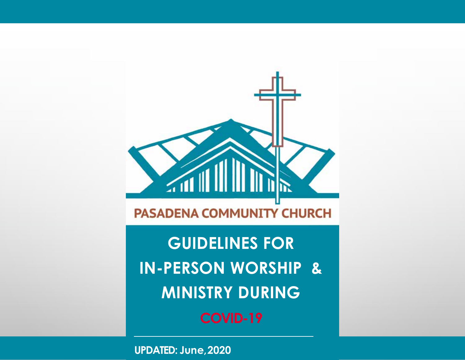

**GUIDELINES FOR IN-PERSON WORSHIP & MINISTRY DURING COVID-19**

**UPDATED: June,2020**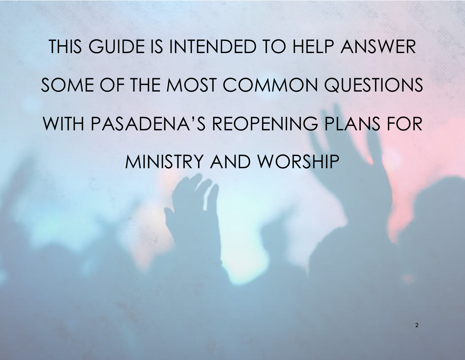# THIS GUIDE IS INTENDED TO HELP ANSWER SOME OF THE MOST COMMON QUESTIONS WITH PASADENA'S REOPENING PLANS FOR MINISTRY AND WORSHIP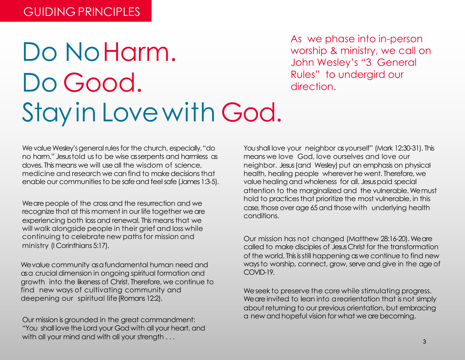# Do NoHarm. Do Good. Stayin Lovewith God.

As we phase into in-person worship & ministry, we call on John Wesley's "3 General Rules" to undergird our direction.

We value Wesley's general rules for the church, especially, "do no harm." Jesus told us to be wise as serpents and harmless as doves. This means we will use all the wisdom of science, medicine and research we can find to make decisions that enable our communities to be safe and feel safe (James 1:3-5).

We are people of the cross and the resurrection and we recognize that at this moment in our life together we are experiencing both loss and renewal. This means that we will walk alongside people in their grief and loss while continuing to celebrate new paths for mission and ministry (I Corinthians 5:17).

We value community as a fundamental human need and as a crucial dimension in ongoing spiritual formation and growth into the likeness of Christ. Therefore, we continue to find new ways of cultivating community and deepening our spiritual life(Romans 12:2).

Our mission is grounded in the great commandment: "You shall love the Lord your God with all your heart, and with all your mind and with all your strength . . .

You shall love your neighbor as yourself" (Mark 12:30-31). This means we love God, love ourselves and love our neighbor. Jesus (and Wesley) put an emphasis on physical health, healing people wherever he went. Therefore, we value healing and wholeness for all. Jesus paid special attention to the marginalized and the vulnerable.Wemust hold to practices that prioritize the most vulnerable, in this case, those over age 65 and those with underlying health conditions.

Our mission has not changed (Matthew 28:16-20). We are called to make disciples of Jesus Christ for the transformation of the world. Thisisstill happening aswe continue to find new ways to worship, connect, grow, serve and give in the age of COVID-19.

We seek to preserve the core while stimulating progress. We are invited to lean into a reorientation that is not simply about returning to our previous orientation, but embracing a new and hopeful vision for what we arebecoming.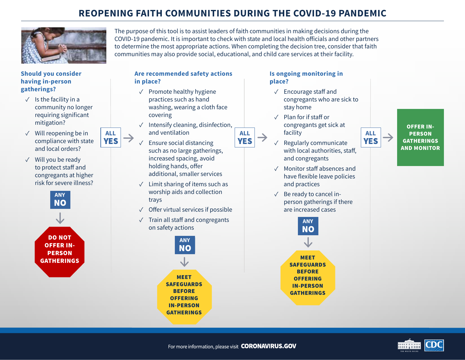#### **REOPENING FAITH COMMUNITIES DURING THE COVID-19 PANDEMIC**



The purpose of this tool is to assist leaders of faith communities in making decisions during the COVID-19 pandemic. It is important to check with state and local health officials and other partners to determine the most appropriate actions. When completing the decision tree, consider that faith communities may also provide social, educational, and child care services at their facility.

#### **Should you consider having in-person gatherings?**

- $\checkmark$  Is the facility in a community no longer requiring significant mitigation?
- $\sqrt{ }$  Will reopening be in compliance with state and local orders?
- $\sqrt{\phantom{a}}$  Will you be ready to protect staff and congregants at higher risk for severe illness?



# **Are recommended safety actions**

#### **in place?**

- $\sqrt{ }$  Promote healthy hygiene practices such as hand washing, wearing a cloth face covering
- $\checkmark$  Intensify cleaning, disinfection, and ventilation **ALL** and ventilation **ALL ALL ALL EXECUTE:** ALL
	- $\sqrt{ }$  Ensure social distancing such as no large gatherings, increased spacing, avoid holding hands, offer additional, smaller services
	- $\sqrt{\phantom{a}}$  Limit sharing of items such as worship aids and collection trays
	- $\sqrt{\phantom{a}}$  Offer virtual services if possible
	- $\sqrt{ }$  Train all staff and congregants on safety actions



#### **Is ongoing monitoring in place?**

- $\sqrt{ }$  Encourage staff and congregants who are sick to stay home
- $\sqrt{ }$  Plan for if staff or congregants get sick at facility
- $\sqrt{\phantom{a}}$  Regularly communicate with local authorities, staff, and congregants
- $\sqrt{ }$  Monitor staff absences and have flexible leave policies and practices
- $\sqrt{ }$  Be ready to cancel inperson gatherings if there are increased cases



OFFER IN-**PERSON GATHERINGS** AND MONITOR

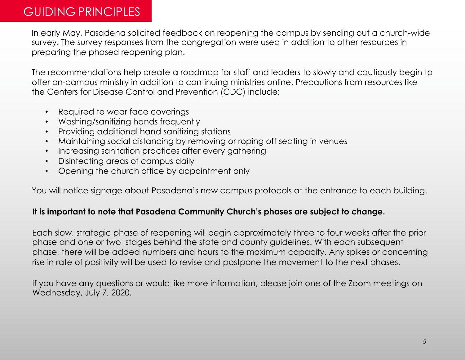#### GUIDING PRINCIPLES

In early May, Pasadena solicited feedback on reopening the campus by sending out a church-wide survey. The survey responses from the congregation were used in addition to other resources in preparing the phased reopening plan.

The recommendations help create a roadmap for staff and leaders to slowly and cautiously begin to offer on-campus ministry in addition to continuing ministries online. Precautions from resources like the Centers for Disease Control and Prevention (CDC) include:

- Required to wear face coverings
- Washing/sanitizing hands frequently
- Providing additional hand sanitizing stations
- Maintaining social distancing by removing or roping off seating in venues
- Increasing sanitation practices after every gathering
- Disinfecting areas of campus daily
- Opening the church office by appointment only

You will notice signage about Pasadena's new campus protocols at the entrance to each building.

#### **It is important to note that Pasadena Community Church's phases are subject to change.**

Each slow, strategic phase of reopening will begin approximately three to four weeks after the prior phase and one or two stages behind the state and county guidelines. With each subsequent phase, there will be added numbers and hours to the maximum capacity. Any spikes or concerning rise in rate of positivity will be used to revise and postpone the movement to the next phases.

If you have any questions or would like more information, please join one of the Zoom meetings on Wednesday, July 7, 2020.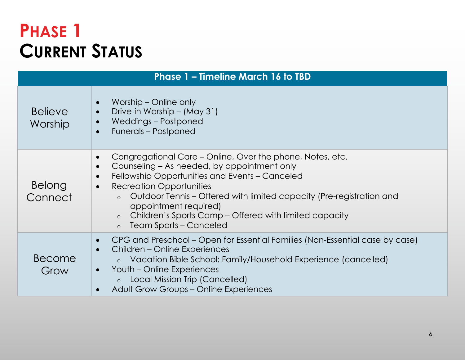# **PHASE 1 CURRENT STATUS**

| <b>Phase 1 - Timeline March 16 to TBD</b> |                                                                                                                                                                                                                                                                                                                                                                                                                                                                |  |
|-------------------------------------------|----------------------------------------------------------------------------------------------------------------------------------------------------------------------------------------------------------------------------------------------------------------------------------------------------------------------------------------------------------------------------------------------------------------------------------------------------------------|--|
| <b>Believe</b><br>Worship                 | Worship – Online only<br>$\bullet$<br>Drive-in Worship – (May 31)<br>$\bullet$<br>Weddings - Postponed<br>$\bullet$<br>Funerals - Postponed<br>$\bullet$                                                                                                                                                                                                                                                                                                       |  |
| Belong<br>Connect                         | Congregational Care – Online, Over the phone, Notes, etc.<br>$\bullet$<br>Counseling – As needed, by appointment only<br>$\bullet$<br>Fellowship Opportunities and Events - Canceled<br>$\bullet$<br><b>Recreation Opportunities</b><br>$\bullet$<br>Outdoor Tennis – Offered with limited capacity (Pre-registration and<br>$\circ$<br>appointment required)<br>Children's Sports Camp – Offered with limited capacity<br>$\circ$<br>o Team Sports – Canceled |  |
| Become<br>Grow                            | CPG and Preschool – Open for Essential Families (Non-Essential case by case)<br>$\bullet$<br>Children – Online Experiences<br>$\bullet$<br>○ Vacation Bible School: Family/Household Experience (cancelled)<br>Youth – Online Experiences<br>$\bullet$<br>Local Mission Trip (Cancelled)<br>$\circ$<br><b>Adult Grow Groups - Online Experiences</b><br>$\bullet$                                                                                              |  |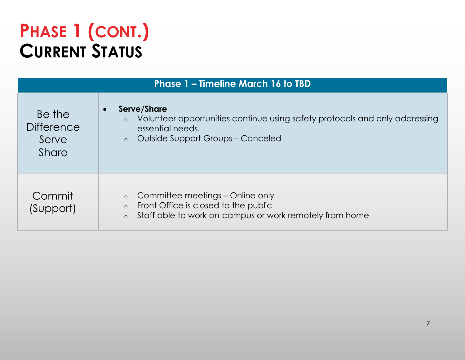# **PHASE 1 (CONT.) CURRENT STATUS**

| <b>Phase 1 - Timeline March 16 to TBD</b>            |                                                                                                                                                                                               |  |
|------------------------------------------------------|-----------------------------------------------------------------------------------------------------------------------------------------------------------------------------------------------|--|
| Be the<br><b>Difference</b><br>Serve<br><b>Share</b> | Serve/Share<br>$\bullet$<br>Volunteer opportunities continue using safety protocols and only addressing<br>$\circ$<br>essential needs.<br><b>Outside Support Groups - Canceled</b><br>$\circ$ |  |
| Commit<br>(Support)                                  | Committee meetings – Online only<br>$\circ$<br>Front Office is closed to the public<br>$\circ$<br>Staff able to work on-campus or work remotely from home<br>$\circ$                          |  |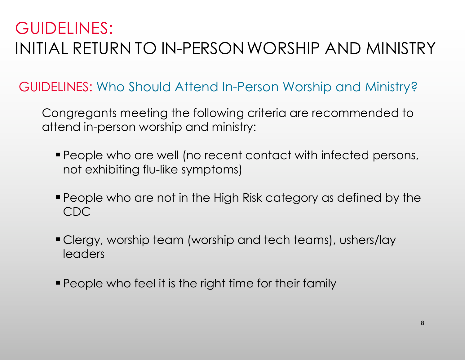## GUIDELINES: INITIAL RETURN TO IN-PERSONWORSHIP AND MINISTRY

### GUIDELINES: Who Should Attend In-Person Worship and Ministry?

Congregants meeting the following criteria are recommended to attend in-person worship and ministry:

- § People who are well (no recent contact with infected persons, not exhibiting flu-like symptoms)
- § People who are not in the High Risk category as defined by the CDC
- § Clergy, worship team (worship and tech teams), ushers/lay leaders
- People who feel it is the right time for their family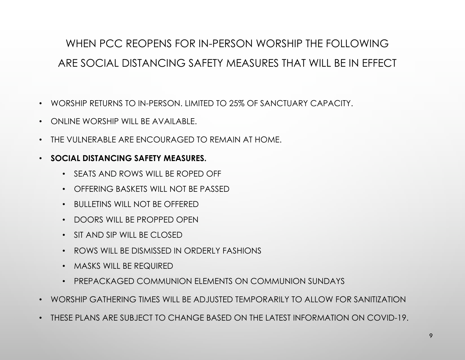### WHEN PCC REOPENS FOR IN-PERSON WORSHIP THE FOLLOWING ARE SOCIAL DISTANCING SAFETY MEASURES THAT WILL BE IN EFFECT

- WORSHIP RETURNS TO IN-PERSON. LIMITED TO 25% OF SANCTUARY CAPACITY.
- ONLINE WORSHIP WILL BE AVAILABLE.
- THE VULNERABLE ARE ENCOURAGED TO REMAIN AT HOME.
- **SOCIAL DISTANCING SAFETY MEASURES.**
	- SEATS AND ROWS WILL BE ROPED OFF
	- OFFERING BASKETS WILL NOT BE PASSED
	- BULLETINS WILL NOT BE OFFERED
	- DOORS WILL BE PROPPED OPEN
	- $\cdot$  SIT AND SIP WILL BE CLOSED
	- ROWS WILL BE DISMISSED IN ORDERLY FASHIONS
	- MASKS WILL BE REQUIRED
	- PREPACKAGED COMMUNION ELEMENTS ON COMMUNION SUNDAYS
- WORSHIP GATHERING TIMES WILL BE ADJUSTED TEMPORARILY TO ALLOW FOR SANITIZATION
- THESE PLANS ARE SUBJECT TO CHANGE BASED ON THE LATEST INFORMATION ON COVID-19.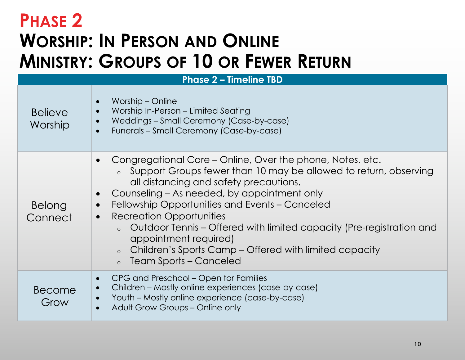# **PHASE 2 WORSHIP: IN PERSON AND ONLINE MINISTRY: GROUPS OF 10 OR FEWER RETURN**

| <b>Phase 2 - Timeline TBD</b> |                                                                                                                                                                                                                                                                                                                                                                                                                                                                                                                                                                                   |  |
|-------------------------------|-----------------------------------------------------------------------------------------------------------------------------------------------------------------------------------------------------------------------------------------------------------------------------------------------------------------------------------------------------------------------------------------------------------------------------------------------------------------------------------------------------------------------------------------------------------------------------------|--|
| <b>Believe</b><br>Worship     | Worship – Online<br>Worship In-Person – Limited Seating<br>$\bullet$<br>Weddings - Small Ceremony (Case-by-case)<br>$\bullet$<br>Funerals - Small Ceremony (Case-by-case)<br>$\bullet$                                                                                                                                                                                                                                                                                                                                                                                            |  |
| Belong<br>Connect             | Congregational Care – Online, Over the phone, Notes, etc.<br>○ Support Groups fewer than 10 may be allowed to return, observing<br>all distancing and safety precautions.<br>Counseling – As needed, by appointment only<br>$\bullet$<br>Fellowship Opportunities and Events - Canceled<br>$\bullet$<br><b>Recreation Opportunities</b><br>$\bullet$<br>Outdoor Tennis – Offered with limited capacity (Pre-registration and<br>$\circ$<br>appointment required)<br>Children's Sports Camp – Offered with limited capacity<br>$\circ$<br><b>Team Sports – Canceled</b><br>$\circ$ |  |
| Become<br>Grow                | CPG and Preschool – Open for Families<br>$\bullet$<br>Children - Mostly online experiences (case-by-case)<br>$\bullet$<br>Youth - Mostly online experience (case-by-case)<br>$\bullet$<br>Adult Grow Groups - Online only                                                                                                                                                                                                                                                                                                                                                         |  |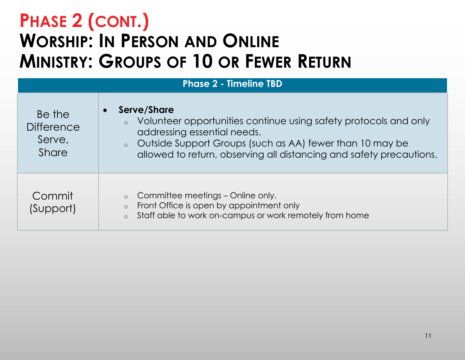# **PHASE 2 (CONT.) WORSHIP: IN PERSON AND ONLINE MINISTRY: GROUPS OF 10 OR FEWER RETURN**

| <b>Phase 2 - Timeline TBD</b>                         |                                                                                                                                                                                                                                                                    |  |
|-------------------------------------------------------|--------------------------------------------------------------------------------------------------------------------------------------------------------------------------------------------------------------------------------------------------------------------|--|
| Be the<br><b>Difference</b><br>Serve,<br><b>Share</b> | Serve/Share<br>$\bullet$<br>• Volunteer opportunities continue using safety protocols and only<br>addressing essential needs.<br>o Outside Support Groups (such as AA) fewer than 10 may be<br>allowed to return, observing all distancing and safety precautions. |  |
| Commit<br>(Support)                                   | Committee meetings – Online only.<br>$\circ$<br>Front Office is open by appointment only<br>$\circ$<br>Staff able to work on-campus or work remotely from home<br>$\circ$                                                                                          |  |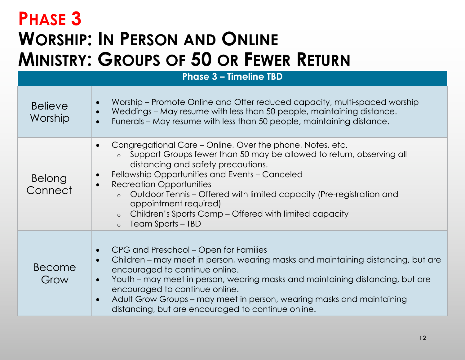# **PHASE 3 WORSHIP: IN PERSON AND ONLINE MINISTRY: GROUPS OF 50 OR FEWER RETURN**

| <b>Phase 3 - Timeline TBD</b> |                                                                                                                                                                                                                                                                                                                                                                                                                                                                                                    |  |
|-------------------------------|----------------------------------------------------------------------------------------------------------------------------------------------------------------------------------------------------------------------------------------------------------------------------------------------------------------------------------------------------------------------------------------------------------------------------------------------------------------------------------------------------|--|
| <b>Believe</b><br>Worship     | Worship – Promote Online and Offer reduced capacity, multi-spaced worship<br>Weddings – May resume with less than 50 people, maintaining distance.<br>Funerals – May resume with less than 50 people, maintaining distance.                                                                                                                                                                                                                                                                        |  |
| <b>Belong</b><br>Connect      | Congregational Care – Online, Over the phone, Notes, etc.<br>Support Groups fewer than 50 may be allowed to return, observing all<br>$\circ$<br>distancing and safety precautions.<br>Fellowship Opportunities and Events - Canceled<br><b>Recreation Opportunities</b><br>$\bullet$<br>Outdoor Tennis – Offered with limited capacity (Pre-registration and<br>$\circ$<br>appointment required)<br>Children's Sports Camp - Offered with limited capacity<br>$\circ$<br>$\circ$ Team Sports – TBD |  |
| Become<br>Grow                | CPG and Preschool – Open for Families<br>Children – may meet in person, wearing masks and maintaining distancing, but are<br>encouraged to continue online.<br>Youth – may meet in person, wearing masks and maintaining distancing, but are<br>encouraged to continue online.<br>Adult Grow Groups – may meet in person, wearing masks and maintaining<br>distancing, but are encouraged to continue online.                                                                                      |  |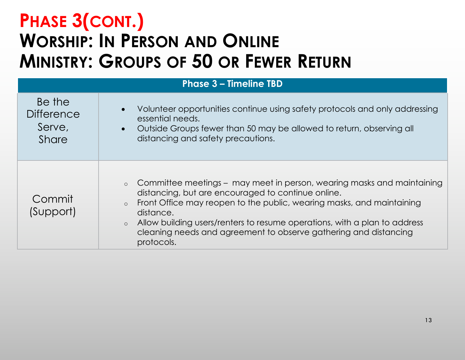# **PHASE 3(CONT.) WORSHIP: IN PERSON AND ONLINE MINISTRY: GROUPS OF 50 OR FEWER RETURN**

| <b>Phase 3 - Timeline TBD</b>                         |                                                                                                                                                                                                                                                                                                                                                                                                           |  |
|-------------------------------------------------------|-----------------------------------------------------------------------------------------------------------------------------------------------------------------------------------------------------------------------------------------------------------------------------------------------------------------------------------------------------------------------------------------------------------|--|
| Be the<br><b>Difference</b><br>Serve,<br><b>Share</b> | Volunteer opportunities continue using safety protocols and only addressing<br>essential needs.<br>Outside Groups fewer than 50 may be allowed to return, observing all<br>$\bullet$<br>distancing and safety precautions.                                                                                                                                                                                |  |
| Commit<br>(Support)                                   | • Committee meetings – may meet in person, wearing masks and maintaining<br>distancing, but are encouraged to continue online.<br>Front Office may reopen to the public, wearing masks, and maintaining<br>$\circ$<br>distance.<br>Allow building users/renters to resume operations, with a plan to address<br>$\circ$<br>cleaning needs and agreement to observe gathering and distancing<br>protocols. |  |